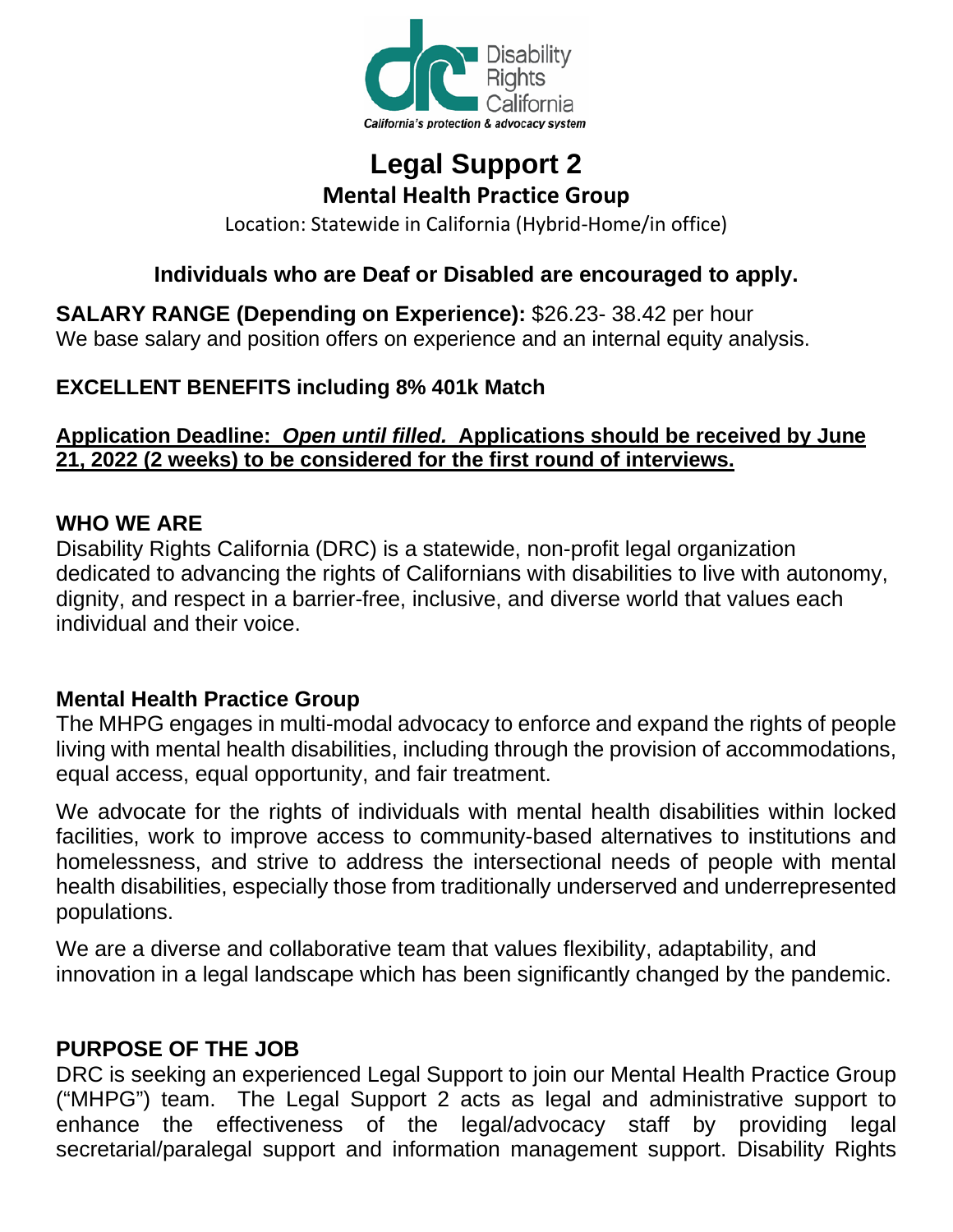

# **Legal Support 2 Mental Health Practice Group**

Location: Statewide in California (Hybrid-Home/in office)

### **Individuals who are Deaf or Disabled are encouraged to apply.**

**SALARY RANGE (Depending on Experience):** [\\$26.23-](http://26.23-/) [38.42](http://38.0.0.42/) per hour We base salary and position offers on experience and an internal equity analysis.

#### **EXCELLENT BENEFITS including 8% 401k Match**

#### **Application Deadline:** *Open until filled.* **[Applications should be received](http://www.disabilityrightsca.org/Jobs/index.htm) by June 21, 2022 (2 weeks) to be considered for the first round of interviews.**

#### **WHO WE ARE**

Disability Rights California (DRC) is a statewide, non-profit legal organization dedicated to advancing the rights of Californians with disabilities to live with autonomy, dignity, and respect in a barrier-free, inclusive, and diverse world that values each individual and their voice.

#### **Mental Health Practice Group**

The MHPG engages in multi-modal advocacy to enforce and expand the rights of people living with mental health disabilities, including through the provision of accommodations, equal access, equal opportunity, and fair treatment.

We advocate for the rights of individuals with mental health disabilities within locked facilities, work to improve access to community-based alternatives to institutions and homelessness, and strive to address the intersectional needs of people with mental health disabilities, especially those from traditionally underserved and underrepresented populations.

We are a diverse and collaborative team that values flexibility, adaptability, and innovation in a legal landscape which has been significantly changed by the pandemic.

#### **PURPOSE OF THE JOB**

DRC is seeking an experienced Legal Support to join our Mental Health Practice Group ("MHPG") team. The Legal Support 2 acts as legal and administrative support to enhance the effectiveness of the legal/advocacy staff by providing legal secretarial/paralegal support and information management support. Disability Rights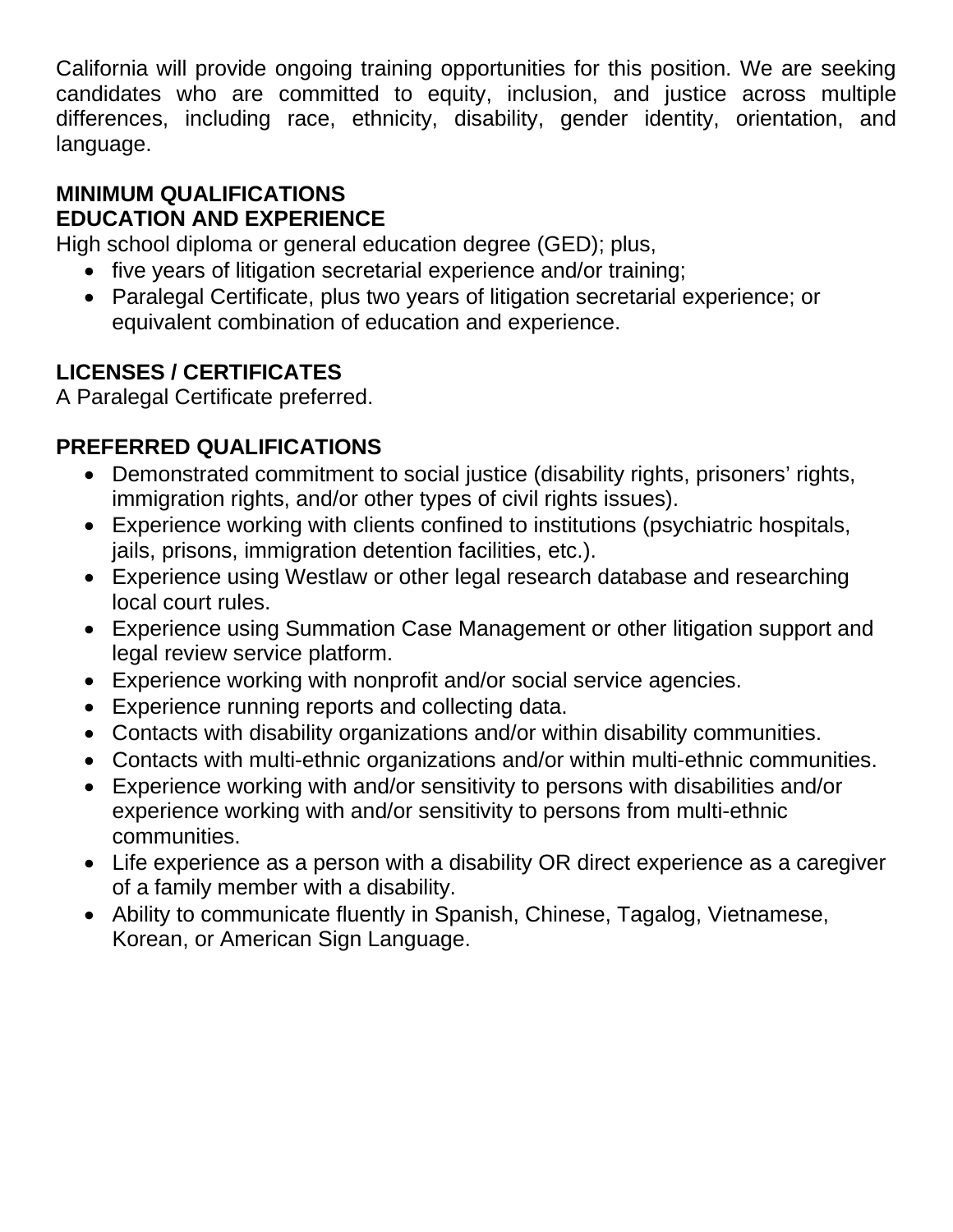California will provide ongoing training opportunities for this position. We are seeking candidates who are committed to equity, inclusion, and justice across multiple differences, including race, ethnicity, disability, gender identity, orientation, and language.

#### **MINIMUM QUALIFICATIONS EDUCATION AND EXPERIENCE**

High school diploma or general education degree (GED); plus,

- five years of litigation secretarial experience and/or training;
- Paralegal Certificate, plus two years of litigation secretarial experience; or equivalent combination of education and experience.

## **LICENSES / CERTIFICATES**

A Paralegal Certificate preferred.

## **PREFERRED QUALIFICATIONS**

- Demonstrated commitment to social justice (disability rights, prisoners' rights, immigration rights, and/or other types of civil rights issues).
- Experience working with clients confined to institutions (psychiatric hospitals, jails, prisons, immigration detention facilities, etc.).
- Experience using Westlaw or other legal research database and researching local court rules.
- Experience using Summation Case Management or other litigation support and legal review service platform.
- Experience working with nonprofit and/or social service agencies.
- Experience running reports and collecting data.
- Contacts with disability organizations and/or within disability communities.
- Contacts with multi-ethnic organizations and/or within multi-ethnic communities.
- Experience working with and/or sensitivity to persons with disabilities and/or experience working with and/or sensitivity to persons from multi-ethnic communities.
- Life experience as a person with a disability OR direct experience as a caregiver of a family member with a disability.
- Ability to communicate fluently in Spanish, Chinese, Tagalog, Vietnamese, Korean, or American Sign Language.